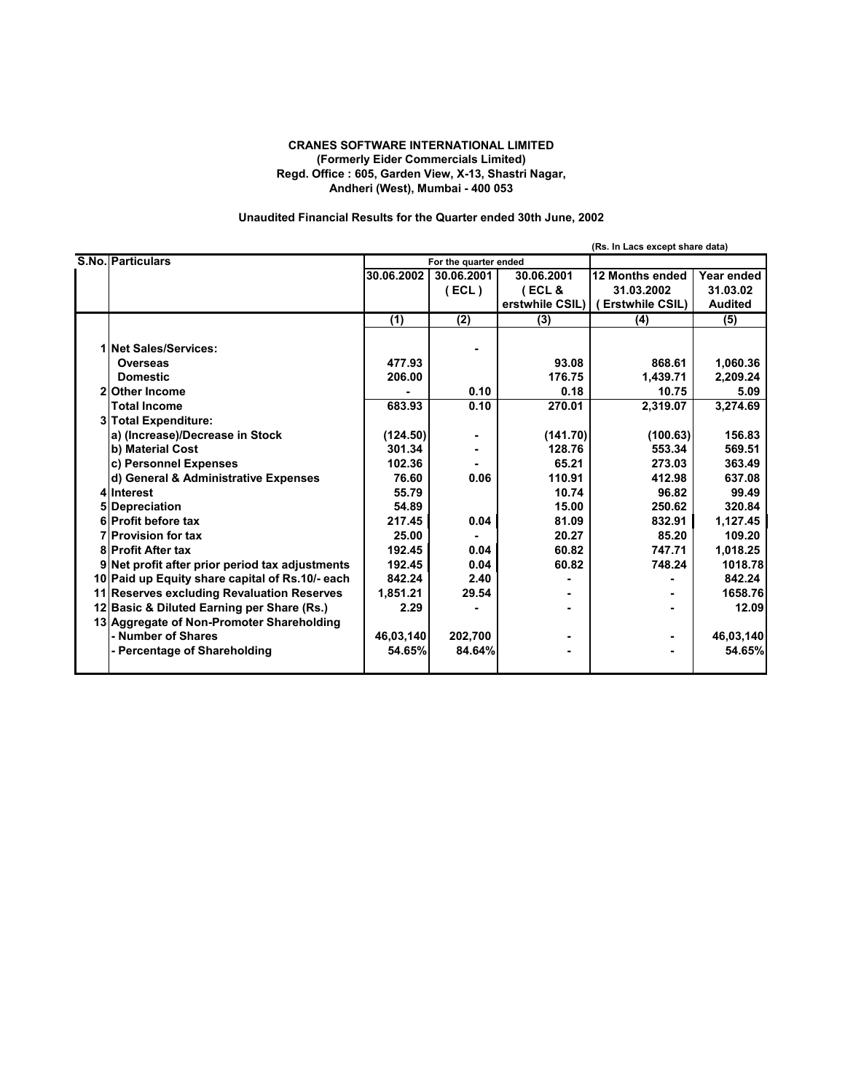### **CRANES SOFTWARE INTERNATIONAL LIMITED (Formerly Eider Commercials Limited) Regd. Office : 605, Garden View, X-13, Shastri Nagar, Andheri (West), Mumbai - 400 053**

## **Unaudited Financial Results for the Quarter ended 30th June, 2002**

|                                                 |            |                       |                  | (Rs. In Lacs except share data)    |                |
|-------------------------------------------------|------------|-----------------------|------------------|------------------------------------|----------------|
| <b>S.No. Particulars</b>                        |            | For the quarter ended |                  |                                    |                |
|                                                 | 30.06.2002 | 30.06.2001            | 30.06.2001       | 12 Months ended                    | Year ended     |
|                                                 |            | ECL)                  | ECL &            | 31.03.2002                         | 31.03.02       |
|                                                 |            |                       |                  | erstwhile CSIL)   (Erstwhile CSIL) | <b>Audited</b> |
|                                                 | (1)        | (2)                   | $\overline{(3)}$ | (4)                                | (5)            |
| <b>1 Net Sales/Services:</b>                    |            |                       |                  |                                    |                |
| <b>Overseas</b>                                 | 477.93     |                       | 93.08            | 868.61                             | 1,060.36       |
| <b>Domestic</b>                                 | 206.00     |                       | 176.75           | 1.439.71                           | 2,209.24       |
| 2 Other Income                                  |            | 0.10                  | 0.18             | 10.75                              | 5.09           |
| <b>Total Income</b>                             | 683.93     | 0.10                  | 270.01           | 2,319.07                           | 3,274.69       |
| 3 Total Expenditure:                            |            |                       |                  |                                    |                |
| a) (Increase)/Decrease in Stock                 | (124.50)   |                       | (141.70)         | (100.63)                           | 156.83         |
| b) Material Cost                                | 301.34     |                       | 128.76           | 553.34                             | 569.51         |
| c) Personnel Expenses                           | 102.36     |                       | 65.21            | 273.03                             | 363.49         |
| d) General & Administrative Expenses            | 76.60      | 0.06                  | 110.91           | 412.98                             | 637.08         |
| 4 Interest                                      | 55.79      |                       | 10.74            | 96.82                              | 99.49          |
| 5 Depreciation                                  | 54.89      |                       | 15.00            | 250.62                             | 320.84         |
| 6 Profit before tax                             | 217.45     | 0.04                  | 81.09            | 832.91                             | 1,127.45       |
| <b>7</b> Provision for tax                      | 25.00      |                       | 20.27            | 85.20                              | 109.20         |
| <b>8</b> Profit After tax                       | 192.45     | 0.04                  | 60.82            | 747.71                             | 1,018.25       |
| 9 Net profit after prior period tax adjustments | 192.45     | 0.04                  | 60.82            | 748.24                             | 1018.78        |
| 10 Paid up Equity share capital of Rs.10/- each | 842.24     | 2.40                  |                  |                                    | 842.24         |
| 11 Reserves excluding Revaluation Reserves      | 1,851.21   | 29.54                 |                  |                                    | 1658.76        |
| 12 Basic & Diluted Earning per Share (Rs.)      | 2.29       |                       |                  |                                    | 12.09          |
| 13 Aggregate of Non-Promoter Shareholding       |            |                       |                  |                                    |                |
| - Number of Shares                              | 46,03,140  | 202,700               |                  |                                    | 46,03,140      |
| - Percentage of Shareholding                    | 54.65%     | 84.64%                |                  |                                    | 54.65%         |
|                                                 |            |                       |                  |                                    |                |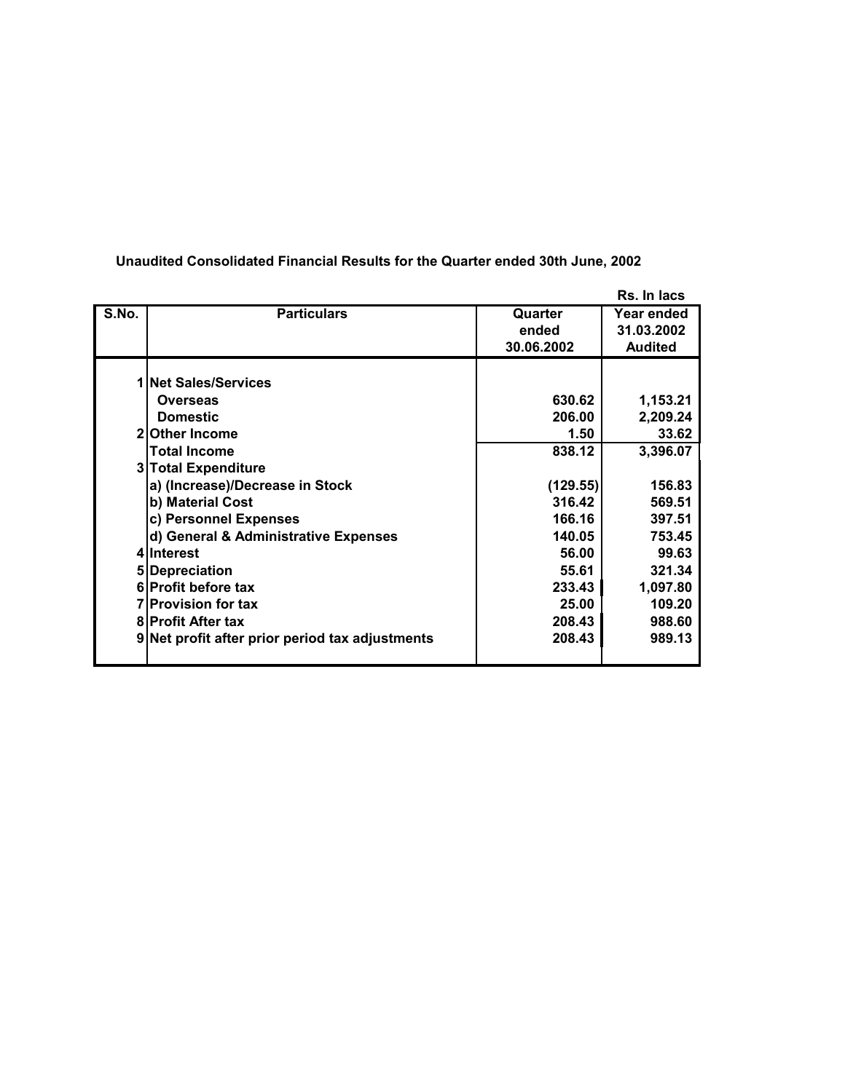|       |                                                 |            | Rs. In lacs    |
|-------|-------------------------------------------------|------------|----------------|
| S.No. | <b>Particulars</b>                              | Quarter    | Year ended     |
|       |                                                 | ended      | 31.03.2002     |
|       |                                                 | 30.06.2002 | <b>Audited</b> |
|       |                                                 |            |                |
|       | 1 Net Sales/Services                            |            |                |
|       | Overseas                                        | 630.62     | 1,153.21       |
|       | <b>Domestic</b>                                 | 206.00     | 2,209.24       |
|       | 2 Other Income                                  | 1.50       | 33.62          |
|       | <b>Total Income</b>                             | 838.12     | 3,396.07       |
|       | 3 Total Expenditure                             |            |                |
|       | a) (Increase)/Decrease in Stock                 | (129.55)   | 156.83         |
|       | b) Material Cost                                | 316.42     | 569.51         |
|       | c) Personnel Expenses                           | 166.16     | 397.51         |
|       | d) General & Administrative Expenses            | 140.05     | 753.45         |
|       | 4 Interest                                      | 56.00      | 99.63          |
|       | 5 Depreciation                                  | 55.61      | 321.34         |
|       | 6 Profit before tax                             | 233.43     | 1,097.80       |
|       | <b>7</b> Provision for tax                      | 25.00      | 109.20         |
|       | <b>8 Profit After tax</b>                       | 208.43     | 988.60         |
|       | 9 Net profit after prior period tax adjustments | 208.43     | 989.13         |
|       |                                                 |            |                |

# **Unaudited Consolidated Financial Results for the Quarter ended 30th June, 2002**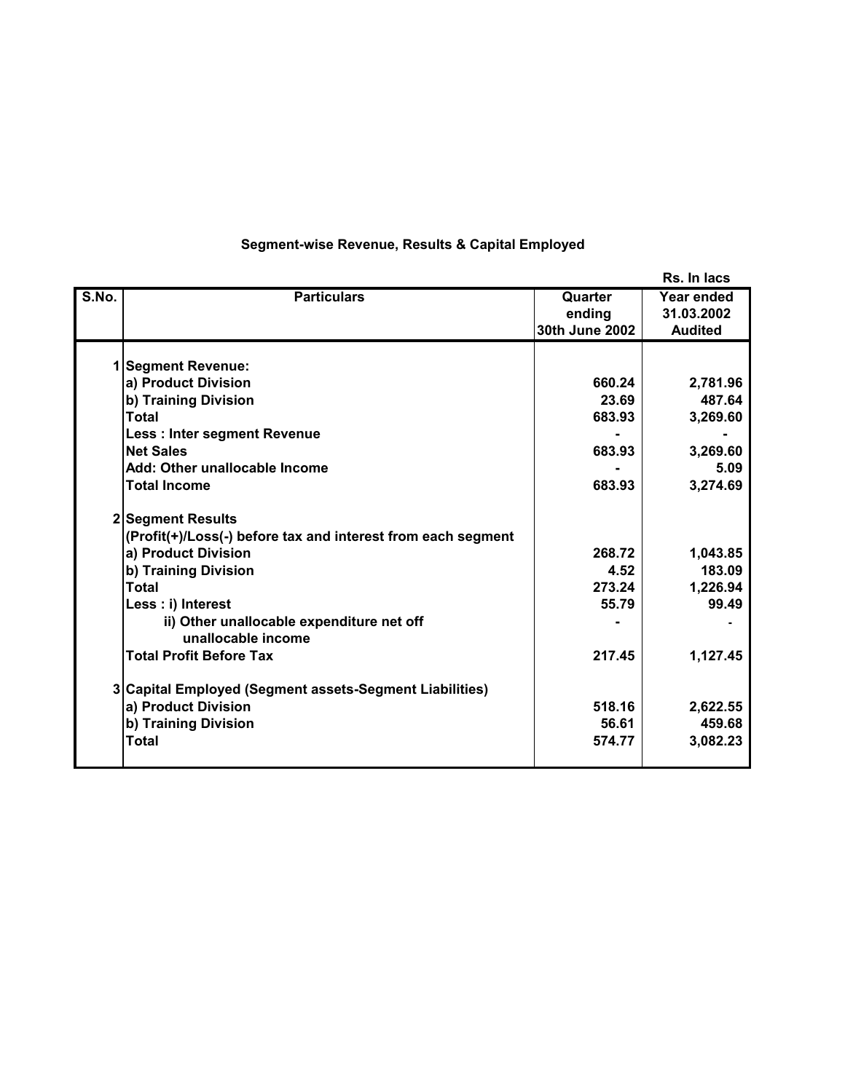|       |                                                              |                | Rs. In lacs    |  |
|-------|--------------------------------------------------------------|----------------|----------------|--|
| S.No. | <b>Particulars</b>                                           | Quarter        | Year ended     |  |
|       |                                                              | ending         | 31.03.2002     |  |
|       |                                                              | 30th June 2002 | <b>Audited</b> |  |
|       | 1 Segment Revenue:                                           |                |                |  |
|       | a) Product Division                                          | 660.24         | 2,781.96       |  |
|       | b) Training Division                                         | 23.69          | 487.64         |  |
|       | <b>Total</b>                                                 | 683.93         | 3,269.60       |  |
|       | <b>Less: Inter segment Revenue</b>                           |                |                |  |
|       | <b>Net Sales</b>                                             | 683.93         | 3,269.60       |  |
|       | Add: Other unallocable Income                                |                | 5.09           |  |
|       | <b>Total Income</b>                                          | 683.93         | 3,274.69       |  |
|       |                                                              |                |                |  |
|       | 2 Segment Results                                            |                |                |  |
|       | (Profit(+)/Loss(-) before tax and interest from each segment |                |                |  |
|       | a) Product Division                                          | 268.72         | 1,043.85       |  |
|       | b) Training Division                                         | 4.52           | 183.09         |  |
|       | <b>Total</b>                                                 | 273.24         | 1,226.94       |  |
|       | Less : i) Interest                                           | 55.79          | 99.49          |  |
|       | ii) Other unallocable expenditure net off                    |                |                |  |
|       | unallocable income                                           |                |                |  |
|       | <b>Total Profit Before Tax</b>                               | 217.45         | 1,127.45       |  |
|       |                                                              |                |                |  |
|       | 3 Capital Employed (Segment assets-Segment Liabilities)      |                |                |  |
|       | a) Product Division                                          | 518.16         | 2,622.55       |  |
|       | b) Training Division                                         | 56.61          | 459.68         |  |
|       | <b>Total</b>                                                 | 574.77         | 3,082.23       |  |
|       |                                                              |                |                |  |

## **Segment-wise Revenue, Results & Capital Employed**